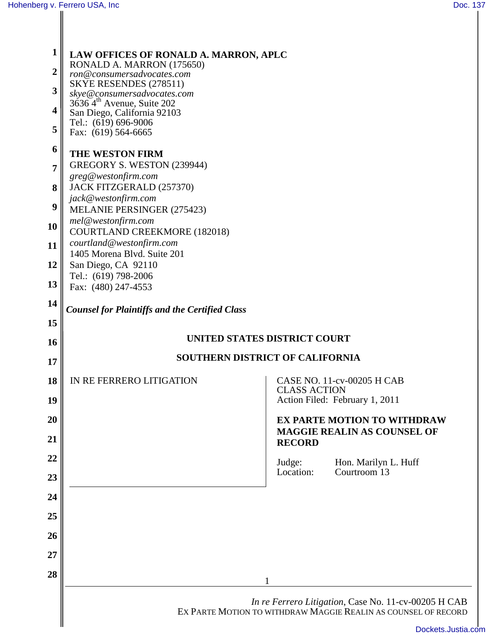**1**

**2**

**3**

**4**

**5**

**6**

**7**

**8**

**9**

**10**

**11**

**12**

**13**

**14**

**15**

**16**

**17**

**18**

**19**

**20**

**21**

**22**

**23**

**24**

**25**

**26**

**27**

**28**

| LAW OFFICES OF RONALD A. MARRON, APLC<br>RONALD A. MARRON (175650)<br>ron@consumersadvocates.com<br>SKYE RESENDES (278511)<br>skye@consumersadvocates.com<br>$36364^{\text{th}}$ Avenue, Suite 202<br>San Diego, California 92103<br>Tel.: (619) 696-9006<br>Fax: (619) 564-6665                                             |                                                                                           |
|------------------------------------------------------------------------------------------------------------------------------------------------------------------------------------------------------------------------------------------------------------------------------------------------------------------------------|-------------------------------------------------------------------------------------------|
| THE WESTON FIRM<br>GREGORY S. WESTON (239944)<br>greg@westonfirm.com<br>JACK FITZGERALD (257370)<br>jack@westonfirm.com<br>MELANIE PERSINGER (275423)<br>mel@westonfirm.com<br><b>COURTLAND CREEKMORE (182018)</b><br>courtland@westonfirm.com<br>1405 Morena Blvd. Suite 201<br>San Diego, CA 92110<br>Tel.: (619) 798-2006 |                                                                                           |
| Fax: (480) 247-4553<br>Counsel for Plaintiffs and the Certified Class                                                                                                                                                                                                                                                        |                                                                                           |
| UNITED STATES DISTRICT COURT                                                                                                                                                                                                                                                                                                 |                                                                                           |
| <b>SOUTHERN DISTRICT OF CALIFORNIA</b>                                                                                                                                                                                                                                                                                       |                                                                                           |
| IN RE FERRERO LITIGATION                                                                                                                                                                                                                                                                                                     | CASE NO. 11-cv-00205 H CAB<br><b>CLASS ACTION</b><br>Action Filed: February 1, 2011       |
|                                                                                                                                                                                                                                                                                                                              | <b>EX PARTE MOTION TO WITHDRAW</b><br><b>MAGGIE REALIN AS COUNSEL OF</b><br><b>RECORD</b> |
|                                                                                                                                                                                                                                                                                                                              | Judge:<br>Hon. Marilyn L. Huff<br>Courtroom 13<br>Location:                               |
|                                                                                                                                                                                                                                                                                                                              | In re Ferrero Litigation, Case No. 11-cv-00205 H CAB                                      |
|                                                                                                                                                                                                                                                                                                                              | EX PARTE MOTION TO WITHDRAW MAGGIE REALIN AS COUNSEL OF RECORD<br>Dockoto Juntin          |